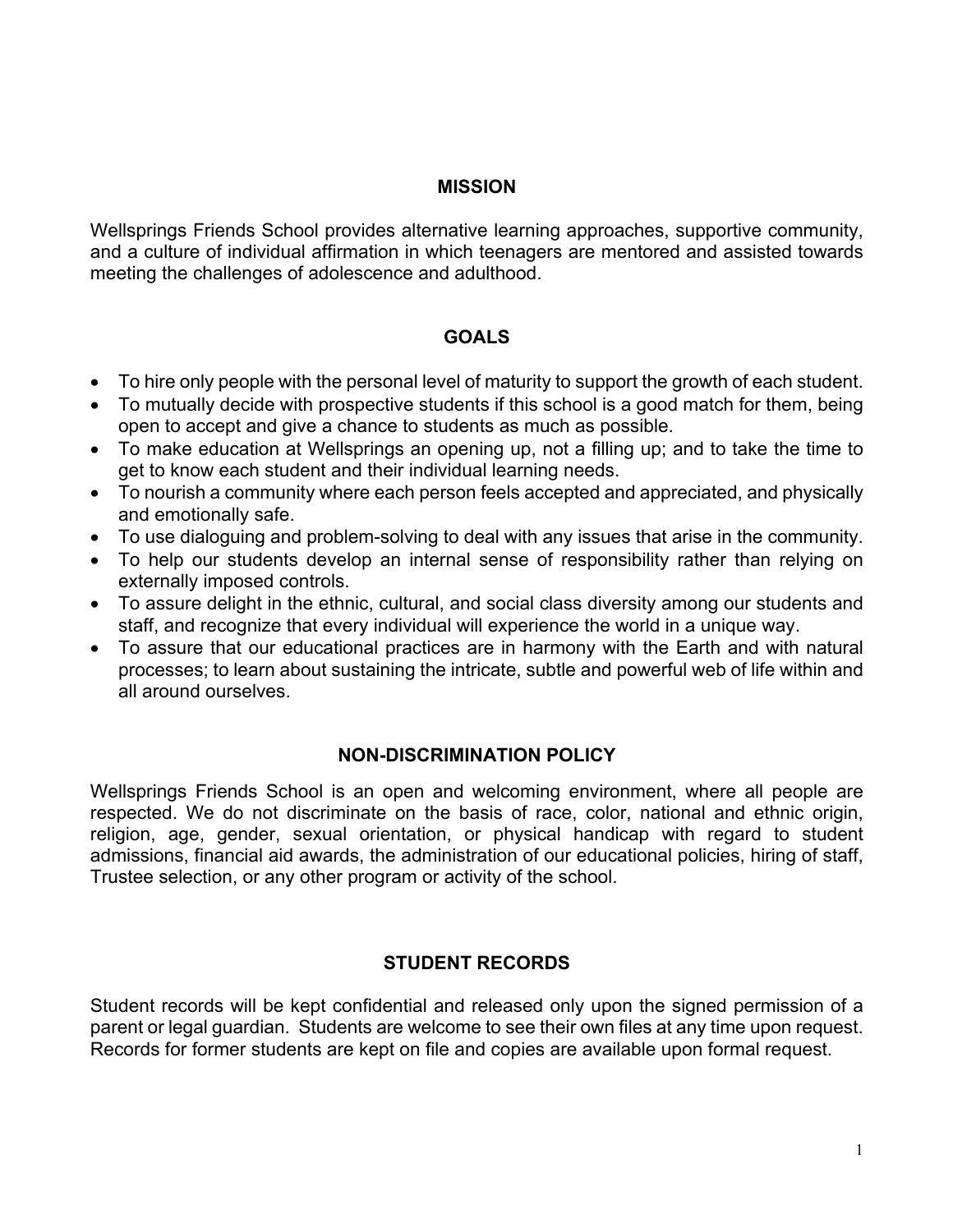## **MISSION**

Wellsprings Friends School provides alternative learning approaches, supportive community, and a culture of individual affirmation in which teenagers are mentored and assisted towards meeting the challenges of adolescence and adulthood.

## **GOALS**

- To hire only people with the personal level of maturity to support the growth of each student.
- To mutually decide with prospective students if this school is a good match for them, being open to accept and give a chance to students as much as possible.
- To make education at Wellsprings an opening up, not a filling up; and to take the time to get to know each student and their individual learning needs.
- To nourish a community where each person feels accepted and appreciated, and physically and emotionally safe.
- To use dialoguing and problem-solving to deal with any issues that arise in the community.
- To help our students develop an internal sense of responsibility rather than relying on externally imposed controls.
- To assure delight in the ethnic, cultural, and social class diversity among our students and staff, and recognize that every individual will experience the world in a unique way.
- To assure that our educational practices are in harmony with the Earth and with natural processes; to learn about sustaining the intricate, subtle and powerful web of life within and all around ourselves.

## **NON-DISCRIMINATION POLICY**

Wellsprings Friends School is an open and welcoming environment, where all people are respected. We do not discriminate on the basis of race, color, national and ethnic origin, religion, age, gender, sexual orientation, or physical handicap with regard to student admissions, financial aid awards, the administration of our educational policies, hiring of staff, Trustee selection, or any other program or activity of the school.

# **STUDENT RECORDS**

Student records will be kept confidential and released only upon the signed permission of a parent or legal guardian. Students are welcome to see their own files at any time upon request. Records for former students are kept on file and copies are available upon formal request.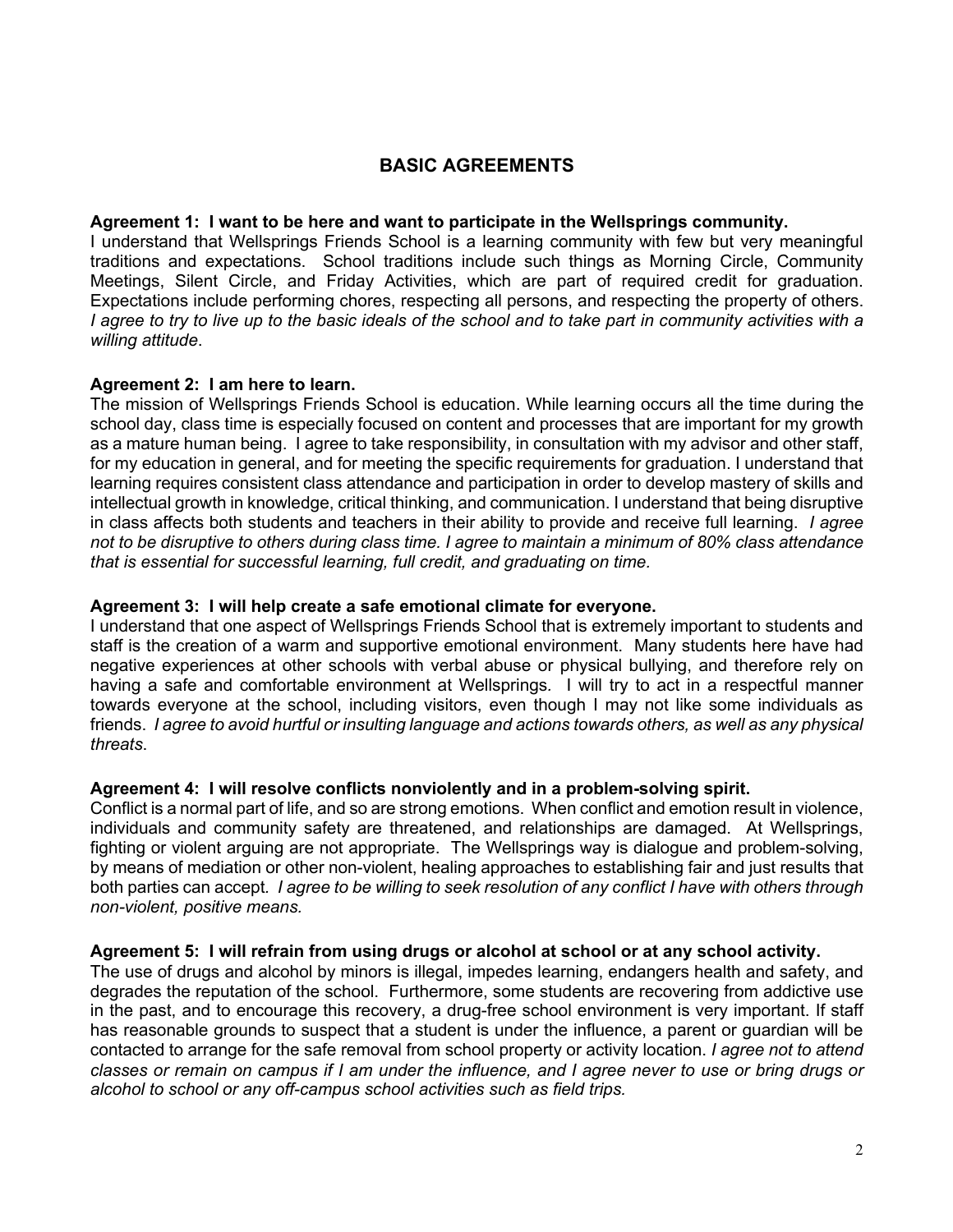# **BASIC AGREEMENTS**

#### **Agreement 1: I want to be here and want to participate in the Wellsprings community.**

I understand that Wellsprings Friends School is a learning community with few but very meaningful traditions and expectations. School traditions include such things as Morning Circle, Community Meetings, Silent Circle, and Friday Activities, which are part of required credit for graduation. Expectations include performing chores, respecting all persons, and respecting the property of others. *I agree to try to live up to the basic ideals of the school and to take part in community activities with a willing attitude*.

#### **Agreement 2: I am here to learn.**

The mission of Wellsprings Friends School is education. While learning occurs all the time during the school day, class time is especially focused on content and processes that are important for my growth as a mature human being. I agree to take responsibility, in consultation with my advisor and other staff, for my education in general, and for meeting the specific requirements for graduation. I understand that learning requires consistent class attendance and participation in order to develop mastery of skills and intellectual growth in knowledge, critical thinking, and communication. I understand that being disruptive in class affects both students and teachers in their ability to provide and receive full learning. *I agree not to be disruptive to others during class time. I agree to maintain a minimum of 80% class attendance that is essential for successful learning, full credit, and graduating on time.*

#### **Agreement 3: I will help create a safe emotional climate for everyone.**

I understand that one aspect of Wellsprings Friends School that is extremely important to students and staff is the creation of a warm and supportive emotional environment. Many students here have had negative experiences at other schools with verbal abuse or physical bullying, and therefore rely on having a safe and comfortable environment at Wellsprings*.* I will try to act in a respectful manner towards everyone at the school, including visitors, even though I may not like some individuals as friends. *I agree to avoid hurtful or insulting language and actions towards others, as well as any physical threats*.

#### **Agreement 4: I will resolve conflicts nonviolently and in a problem-solving spirit.**

Conflict is a normal part of life, and so are strong emotions. When conflict and emotion result in violence, individuals and community safety are threatened, and relationships are damaged. At Wellsprings, fighting or violent arguing are not appropriate. The Wellsprings way is dialogue and problem-solving, by means of mediation or other non-violent, healing approaches to establishing fair and just results that both parties can accept*. I agree to be willing to seek resolution of any conflict I have with others through non-violent, positive means.*

#### **Agreement 5: I will refrain from using drugs or alcohol at school or at any school activity.**

The use of drugs and alcohol by minors is illegal, impedes learning, endangers health and safety, and degrades the reputation of the school. Furthermore, some students are recovering from addictive use in the past, and to encourage this recovery, a drug-free school environment is very important. If staff has reasonable grounds to suspect that a student is under the influence, a parent or guardian will be contacted to arrange for the safe removal from school property or activity location. *I agree not to attend classes or remain on campus if I am under the influence, and I agree never to use or bring drugs or alcohol to school or any off-campus school activities such as field trips.*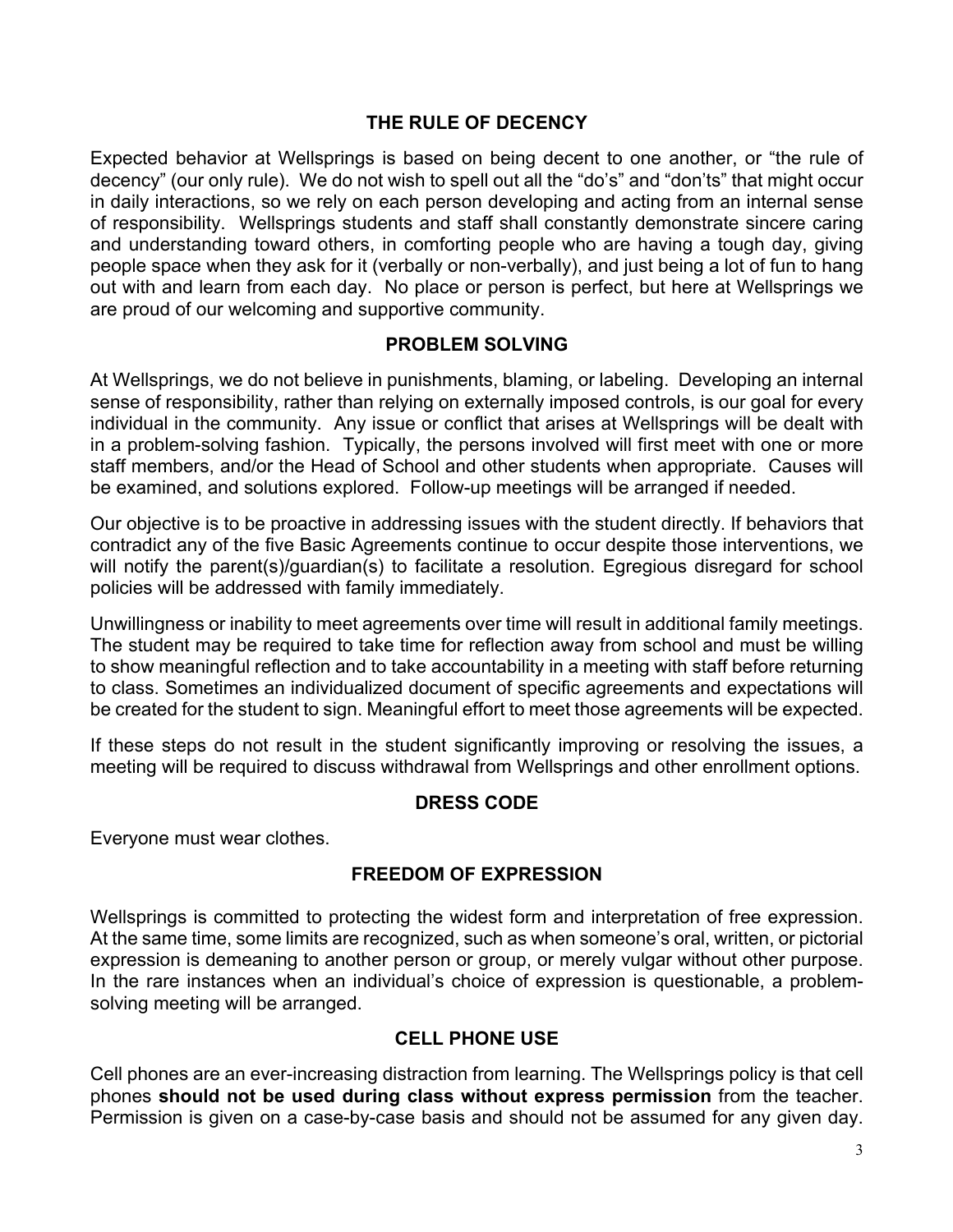## **THE RULE OF DECENCY**

Expected behavior at Wellsprings is based on being decent to one another, or "the rule of decency" (our only rule). We do not wish to spell out all the "do's" and "don'ts" that might occur in daily interactions, so we rely on each person developing and acting from an internal sense of responsibility. Wellsprings students and staff shall constantly demonstrate sincere caring and understanding toward others, in comforting people who are having a tough day, giving people space when they ask for it (verbally or non-verbally), and just being a lot of fun to hang out with and learn from each day. No place or person is perfect, but here at Wellsprings we are proud of our welcoming and supportive community.

## **PROBLEM SOLVING**

At Wellsprings, we do not believe in punishments, blaming, or labeling. Developing an internal sense of responsibility, rather than relying on externally imposed controls, is our goal for every individual in the community. Any issue or conflict that arises at Wellsprings will be dealt with in a problem-solving fashion. Typically, the persons involved will first meet with one or more staff members, and/or the Head of School and other students when appropriate. Causes will be examined, and solutions explored. Follow-up meetings will be arranged if needed.

Our objective is to be proactive in addressing issues with the student directly. If behaviors that contradict any of the five Basic Agreements continue to occur despite those interventions, we will notify the parent(s)/guardian(s) to facilitate a resolution. Egregious disregard for school policies will be addressed with family immediately.

Unwillingness or inability to meet agreements over time will result in additional family meetings. The student may be required to take time for reflection away from school and must be willing to show meaningful reflection and to take accountability in a meeting with staff before returning to class. Sometimes an individualized document of specific agreements and expectations will be created for the student to sign. Meaningful effort to meet those agreements will be expected.

If these steps do not result in the student significantly improving or resolving the issues, a meeting will be required to discuss withdrawal from Wellsprings and other enrollment options.

## **DRESS CODE**

Everyone must wear clothes.

# **FREEDOM OF EXPRESSION**

Wellsprings is committed to protecting the widest form and interpretation of free expression. At the same time, some limits are recognized, such as when someone's oral, written, or pictorial expression is demeaning to another person or group, or merely vulgar without other purpose. In the rare instances when an individual's choice of expression is questionable, a problemsolving meeting will be arranged.

# **CELL PHONE USE**

Cell phones are an ever-increasing distraction from learning. The Wellsprings policy is that cell phones **should not be used during class without express permission** from the teacher. Permission is given on a case-by-case basis and should not be assumed for any given day.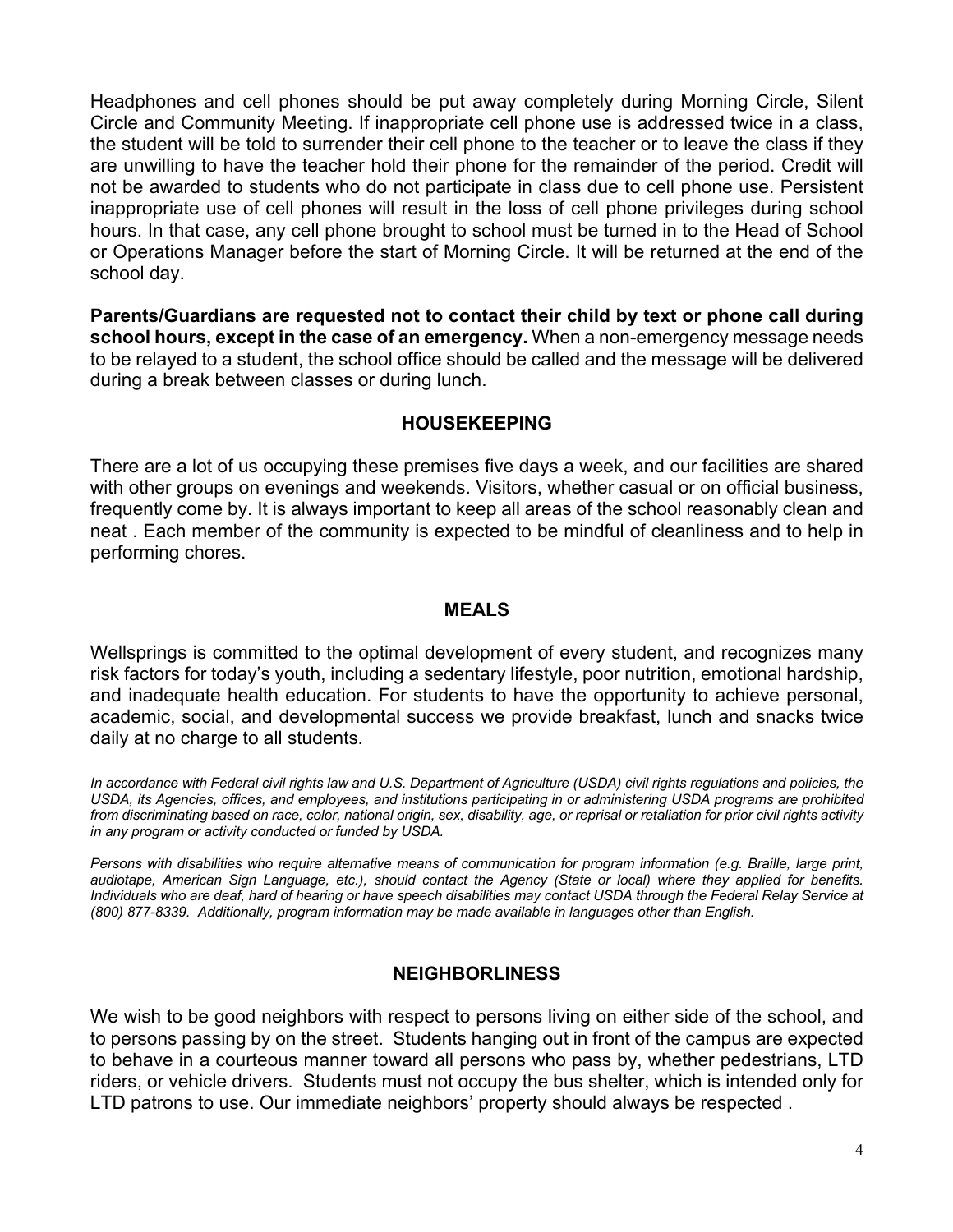Headphones and cell phones should be put away completely during Morning Circle, Silent Circle and Community Meeting. If inappropriate cell phone use is addressed twice in a class, the student will be told to surrender their cell phone to the teacher or to leave the class if they are unwilling to have the teacher hold their phone for the remainder of the period. Credit will not be awarded to students who do not participate in class due to cell phone use. Persistent inappropriate use of cell phones will result in the loss of cell phone privileges during school hours. In that case, any cell phone brought to school must be turned in to the Head of School or Operations Manager before the start of Morning Circle. It will be returned at the end of the school day.

**Parents/Guardians are requested not to contact their child by text or phone call during school hours, except in the case of an emergency.** When a non-emergency message needs to be relayed to a student, the school office should be called and the message will be delivered during a break between classes or during lunch.

## **HOUSEKEEPING**

There are a lot of us occupying these premises five days a week, and our facilities are shared with other groups on evenings and weekends. Visitors, whether casual or on official business, frequently come by. It is always important to keep all areas of the school reasonably clean and neat . Each member of the community is expected to be mindful of cleanliness and to help in performing chores.

## **MEALS**

Wellsprings is committed to the optimal development of every student, and recognizes many risk factors for today's youth, including a sedentary lifestyle, poor nutrition, emotional hardship, and inadequate health education. For students to have the opportunity to achieve personal, academic, social, and developmental success we provide breakfast, lunch and snacks twice daily at no charge to all students.

In accordance with Federal civil rights law and U.S. Department of Agriculture (USDA) civil rights regulations and policies, the *USDA, its Agencies, offices, and employees, and institutions participating in or administering USDA programs are prohibited from discriminating based on race, color, national origin, sex, disability, age, or reprisal or retaliation for prior civil rights activity in any program or activity conducted or funded by USDA.* 

*Persons with disabilities who require alternative means of communication for program information (e.g. Braille, large print, audiotape, American Sign Language, etc.), should contact the Agency (State or local) where they applied for benefits. Individuals who are deaf, hard of hearing or have speech disabilities may contact USDA through the Federal Relay Service at (800) 877-8339. Additionally, program information may be made available in languages other than English.*

# **NEIGHBORLINESS**

We wish to be good neighbors with respect to persons living on either side of the school, and to persons passing by on the street. Students hanging out in front of the campus are expected to behave in a courteous manner toward all persons who pass by, whether pedestrians, LTD riders, or vehicle drivers. Students must not occupy the bus shelter, which is intended only for LTD patrons to use. Our immediate neighbors' property should always be respected .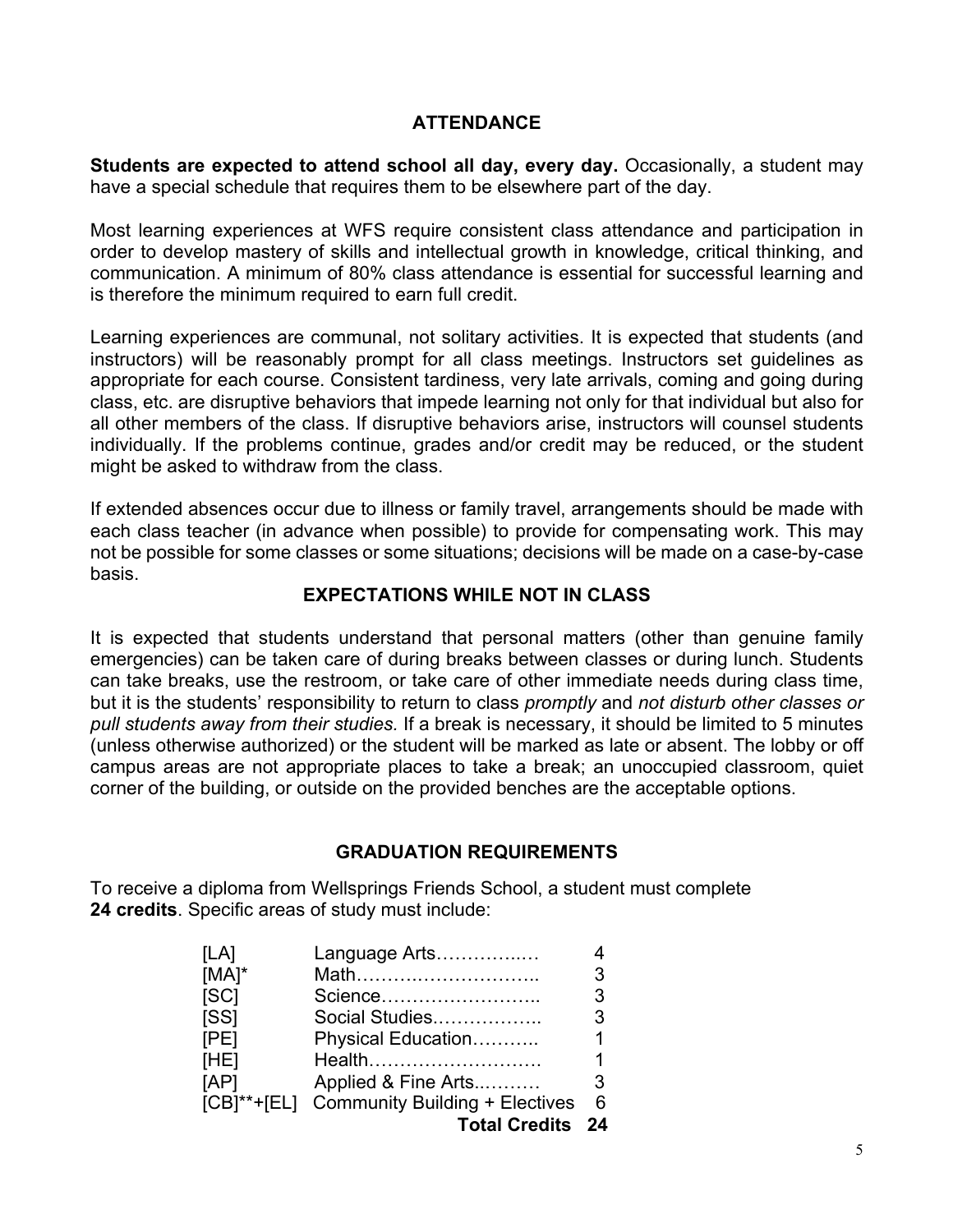# **ATTENDANCE**

**Students are expected to attend school all day, every day.** Occasionally, a student may have a special schedule that requires them to be elsewhere part of the day.

Most learning experiences at WFS require consistent class attendance and participation in order to develop mastery of skills and intellectual growth in knowledge, critical thinking, and communication. A minimum of 80% class attendance is essential for successful learning and is therefore the minimum required to earn full credit.

Learning experiences are communal, not solitary activities. It is expected that students (and instructors) will be reasonably prompt for all class meetings. Instructors set guidelines as appropriate for each course. Consistent tardiness, very late arrivals, coming and going during class, etc. are disruptive behaviors that impede learning not only for that individual but also for all other members of the class. If disruptive behaviors arise, instructors will counsel students individually. If the problems continue, grades and/or credit may be reduced, or the student might be asked to withdraw from the class.

If extended absences occur due to illness or family travel, arrangements should be made with each class teacher (in advance when possible) to provide for compensating work. This may not be possible for some classes or some situations; decisions will be made on a case-by-case basis.

## **EXPECTATIONS WHILE NOT IN CLASS**

It is expected that students understand that personal matters (other than genuine family emergencies) can be taken care of during breaks between classes or during lunch. Students can take breaks, use the restroom, or take care of other immediate needs during class time, but it is the students' responsibility to return to class *promptly* and *not disturb other classes or pull students away from their studies.* If a break is necessary, it should be limited to 5 minutes (unless otherwise authorized) or the student will be marked as late or absent. The lobby or off campus areas are not appropriate places to take a break; an unoccupied classroom, quiet corner of the building, or outside on the provided benches are the acceptable options.

## **GRADUATION REQUIREMENTS**

To receive a diploma from Wellsprings Friends School, a student must complete **24 credits**. Specific areas of study must include:

| [LA]     | Language Arts                              |   |
|----------|--------------------------------------------|---|
| $[MA]^*$ | Math                                       | 3 |
| [SC]     | Science                                    | 3 |
| [SS]     | Social Studies                             | 3 |
| [PE]     | Physical Education                         | 1 |
| [HE]     | Health                                     | 1 |
| [AP]     | Applied & Fine Arts                        | 3 |
|          | [CB]**+[EL] Community Building + Electives | 6 |
|          | <b>Total Credits 24</b>                    |   |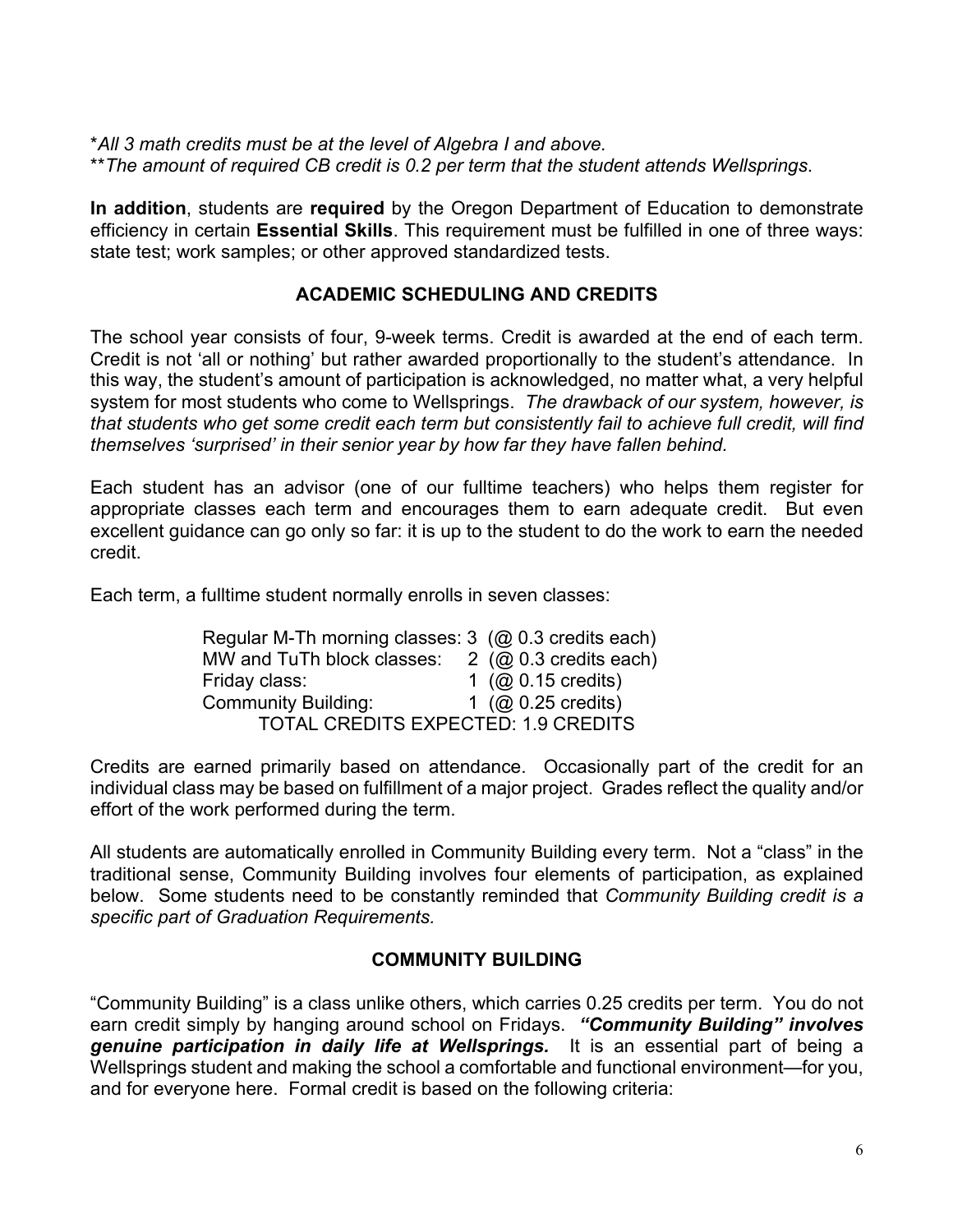\**All 3 math credits must be at the level of Algebra I and above.* \*\**The amount of required CB credit is 0.2 per term that the student attends Wellsprings*.

**In addition**, students are **required** by the Oregon Department of Education to demonstrate efficiency in certain **Essential Skills**. This requirement must be fulfilled in one of three ways: state test; work samples; or other approved standardized tests.

# **ACADEMIC SCHEDULING AND CREDITS**

The school year consists of four, 9-week terms. Credit is awarded at the end of each term. Credit is not 'all or nothing' but rather awarded proportionally to the student's attendance. In this way, the student's amount of participation is acknowledged, no matter what, a very helpful system for most students who come to Wellsprings. *The drawback of our system, however, is that students who get some credit each term but consistently fail to achieve full credit, will find themselves 'surprised' in their senior year by how far they have fallen behind.*

Each student has an advisor (one of our fulltime teachers) who helps them register for appropriate classes each term and encourages them to earn adequate credit. But even excellent guidance can go only so far: it is up to the student to do the work to earn the needed credit.

Each term, a fulltime student normally enrolls in seven classes:

Regular M-Th morning classes: 3 (@ 0.3 credits each) MW and TuTh block classes:  $2 \ (\omega 0.3 \text{ credits each})$ Friday class: 1 (@ 0.15 credits) Community Building:  $1 \stackrel{\sim}{\text{O}} 0.25$  credits) TOTAL CREDITS EXPECTED: 1.9 CREDITS

Credits are earned primarily based on attendance. Occasionally part of the credit for an individual class may be based on fulfillment of a major project. Grades reflect the quality and/or effort of the work performed during the term.

All students are automatically enrolled in Community Building every term. Not a "class" in the traditional sense, Community Building involves four elements of participation, as explained below. Some students need to be constantly reminded that *Community Building credit is a specific part of Graduation Requirements.*

## **COMMUNITY BUILDING**

"Community Building" is a class unlike others, which carries 0.25 credits per term. You do not earn credit simply by hanging around school on Fridays. *"Community Building" involves genuine participation in daily life at Wellsprings.* It is an essential part of being a Wellsprings student and making the school a comfortable and functional environment—for you, and for everyone here. Formal credit is based on the following criteria: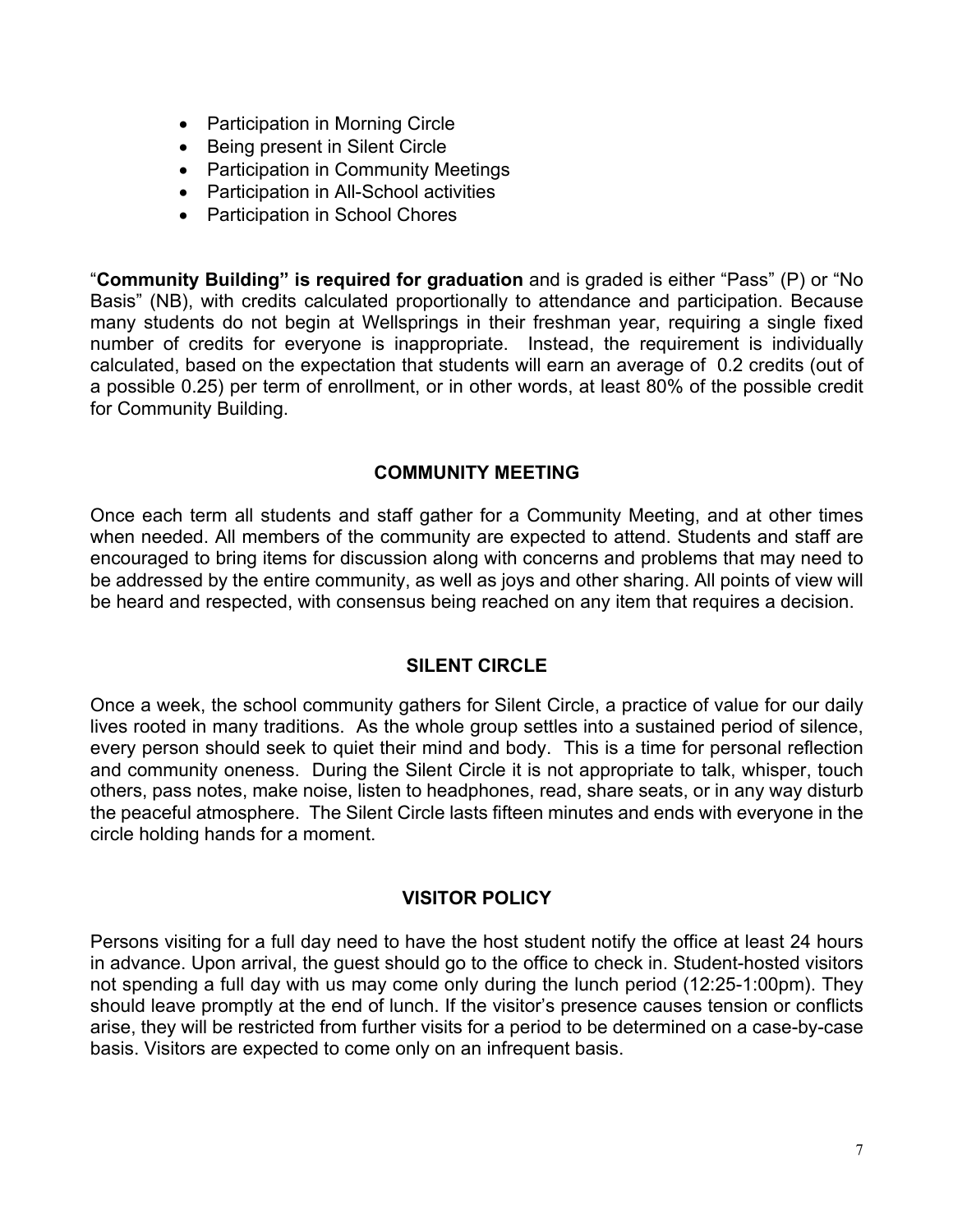- Participation in Morning Circle
- Being present in Silent Circle
- Participation in Community Meetings
- Participation in All-School activities
- Participation in School Chores

"**Community Building" is required for graduation** and is graded is either "Pass" (P) or "No Basis" (NB), with credits calculated proportionally to attendance and participation. Because many students do not begin at Wellsprings in their freshman year, requiring a single fixed number of credits for everyone is inappropriate. Instead, the requirement is individually calculated, based on the expectation that students will earn an average of 0.2 credits (out of a possible 0.25) per term of enrollment, or in other words, at least 80% of the possible credit for Community Building.

## **COMMUNITY MEETING**

Once each term all students and staff gather for a Community Meeting, and at other times when needed. All members of the community are expected to attend. Students and staff are encouraged to bring items for discussion along with concerns and problems that may need to be addressed by the entire community, as well as joys and other sharing. All points of view will be heard and respected, with consensus being reached on any item that requires a decision.

## **SILENT CIRCLE**

Once a week, the school community gathers for Silent Circle, a practice of value for our daily lives rooted in many traditions. As the whole group settles into a sustained period of silence, every person should seek to quiet their mind and body. This is a time for personal reflection and community oneness. During the Silent Circle it is not appropriate to talk, whisper, touch others, pass notes, make noise, listen to headphones, read, share seats, or in any way disturb the peaceful atmosphere. The Silent Circle lasts fifteen minutes and ends with everyone in the circle holding hands for a moment.

# **VISITOR POLICY**

Persons visiting for a full day need to have the host student notify the office at least 24 hours in advance. Upon arrival, the guest should go to the office to check in. Student-hosted visitors not spending a full day with us may come only during the lunch period (12:25-1:00pm). They should leave promptly at the end of lunch. If the visitor's presence causes tension or conflicts arise, they will be restricted from further visits for a period to be determined on a case-by-case basis. Visitors are expected to come only on an infrequent basis.